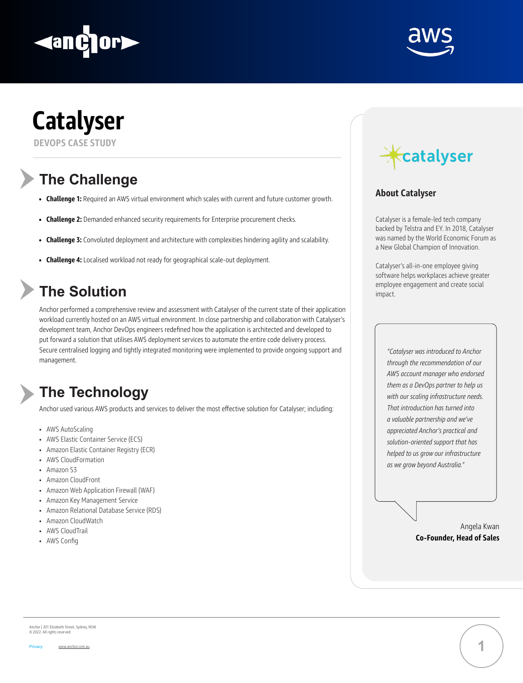





# **The Challenge**

## **The Solution**

# **The Technology**

- **• Challenge 1:** Required an AWS virtual environment which scales with current and future customer growth.
- **• Challenge 2:** Demanded enhanced security requirements for Enterprise procurement checks.
- **• Challenge 3:** Convoluted deployment and architecture with complexities hindering agility and scalability.
- **• Challenge 4:** Localised workload not ready for geographical scale-out deployment.

Anchor performed a comprehensive review and assessment with Catalyser of the current state of their application workload currently hosted on an AWS virtual environment. In close partnership and collaboration with Catalyser's development team, Anchor DevOps engineers redefined how the application is architected and developed to put forward a solution that utilises AWS deployment services to automate the entire code delivery process. Secure centralised logging and tightly integrated monitoring were implemented to provide ongoing support and management.



Anchor used various AWS products and services to deliver the most effective solution for Catalyser; including:

- AWS AutoScaling
- AWS Elastic Container Service (ECS)
- Amazon Elastic Container Registry (ECR)
- AWS CloudFormation
- Amazon S3
- Amazon CloudFront
- Amazon Web Application Firewall (WAF)
- Amazon Key Management Service
- Amazon Relational Database Service (RDS)
- Amazon CloudWatch
- AWS CloudTrail
- AWS Config



Anchor | 201 Elizabeth Street, Sydney, NSW © 2022. All rights reserved.



#### **About Catalyser**

Catalyser is a female-led tech company backed by Telstra and EY. In 2018, Catalyser was named by the World Economic Forum as a New Global Champion of Innovation.

Catalyser's all-in-one employee giving software helps workplaces achieve greater employee engagement and create social impact.

> *"Catalyser was introduced to Anchor through the recommendation of our AWS account manager who endorsed them as a DevOps partner to help us with our scaling infrastructure needs. That introduction has turned into a valuable partnership and we've appreciated Anchor's practical and solution-oriented support that has helped to us grow our infrastructure as we grow beyond Australia."*

#### Angela Kwan **Co-Founder, Head of Sales**